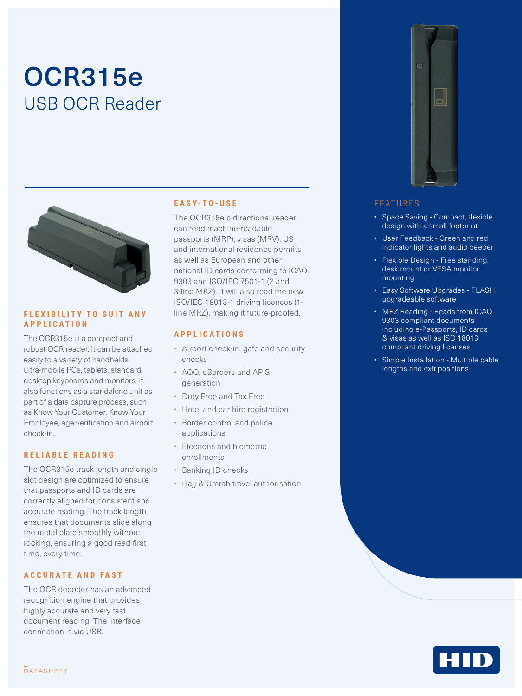# OCR315e USB OCR Reader



#### **FLEXIBILITY TO SUIT ANY APPLICATION**

The OCR315e is a compact and robust OCR reader. It can be attached easily to a variety of handhelds, ultra-mobile PCs, tablets, standard desktop keyboards and monitors. It also functions as a standalone unit as part of a data capture process, such as Know Your Customer, Know Your Employee, age verification and airport check-in.

#### **RELIABLE READING**

The OCR315e track length and single slot design are optimized to ensure that passports and ID cards are correctly aligned for consistent and accurate reading. The track length ensures that documents slide along the metal plate smoothly without rocking, ensuring a good read first time, every time.

### **ACCURATE AND FAST**

The OCR decoder has an advanced recognition engine that provides highly accurate and very fast document reading. The interface connection is via USB.

#### **EASY-TO-USE**

The OCR315e bidirectional reader can read machine-readable passports (MRP), visas (MRV), US and international residence permits as well as European and other national ID cards conforming to ICAO 9303 and ISO/IEC 7501-1 (2 and 3-line MRZ). It will also read the new ISO/IEC 18013-1 driving licenses (1 line MRZ), making it future-proofed.

#### **APPLICATIONS**

- Airport check-in, gate and security checks
- AQQ, eBorders and APIS generation
- Duty Free and Tax Free
- Hotel and car hire registration
- Border control and police applications
- Elections and biometric enrollments
- Banking ID checks
- Hajj & Umrah travel authorisation



#### **FEATURES**

- Space Saving Compact, flexible design with a small footprint
- User Feedback Green and red indicator lights and audio beeper
- Flexible Design Free standing, desk mount or VESA monitor mounting
- Easy Software Upgrades FLASH upgradeable software
- MRZ Reading Reads from ICAO 9303 compliant documents including e-Passports, ID cards & visas as well as ISO 18013 compliant driving licenses
- Simple Installation Multiple cable lengths and exit positions